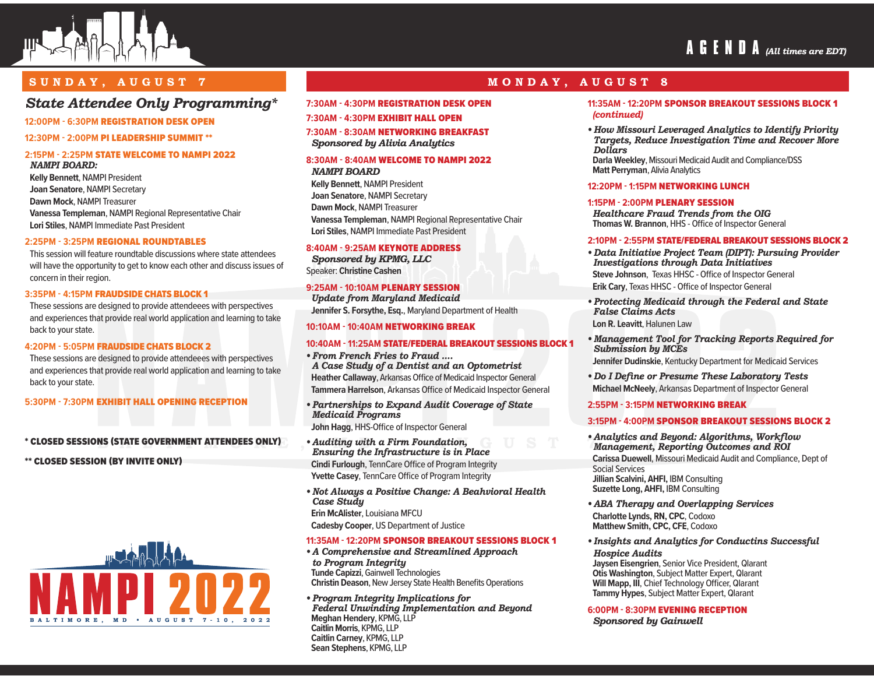

# **AGENDA** *(All times are EDT)*

## **SUNDAY, AUGUST 7 MONDAY, AUGUST 8**

# *State Attendee Only Programming\**

#### **12:00PM - 6:30PM** REGISTRATION DESK OPEN

#### **12:30PM - 2:00PM** PI LEADERSHIP SUMMIT \*\*

#### **2:15PM - 2:25PM** STATE WELCOME TO NAMPI 2022 *NAMPI BOARD:*

**Kelly Bennett**, NAMPI President **Joan Senatore**, NAMPI Secretary **Dawn Mock**, NAMPI Treasurer **Vanessa Templeman**, NAMPI Regional Representative Chair **Lori Stiles**, NAMPI Immediate Past President

#### **2:25PM - 3:25PM** REGIONAL ROUNDTABLES

This session will feature roundtable discussions where state attendees will have the opportunity to get to know each other and discuss issues of concern in their region.

#### **3:35PM - 4:15PM** FRAUDSIDE CHATS BLOCK 1

These sessions are designed to provide attendeees with perspectives and experiences that provide real world application and learning to take back to your state.

#### **4:20PM - 5:05PM** FRAUDSIDE CHATS BLOCK 2

These sessions are designed to provide attendeees with perspectives and experiences that provide real world application and learning to take back to your state.

**5:30PM - 7:30PM** EXHIBIT HALL OPENING RECEPTION

#### \* CLOSED SESSIONS (STATE GOVERNMENT ATTENDEES ONLY)

\*\* CLOSED SESSION (BY INVITE ONLY)



#### **7:30AM - 4:30PM** REGISTRATION DESK OPEN

**7:30AM - 4:30PM** EXHIBIT HALL OPEN

#### **7:30AM - 8:30AM** NETWORKING BREAKFAST *Sponsored by Alivia Analytics*

### **8:30AM - 8:40AM** WELCOME TO NAMPI 2022

#### *NAMPI BOARD*

**Kelly Bennett**, NAMPI President **Joan Senatore**, NAMPI Secretary **Dawn Mock**, NAMPI Treasurer **Vanessa Templeman**, NAMPI Regional Representative Chair **Lori Stiles**, NAMPI Immediate Past President

#### **8:40AM - 9:25AM** KEYNOTE ADDRESS

*Sponsored by KPMG, LLC* Speaker: **Christine Cashen**

#### **9:25AM - 10:10AM** PLENARY SESSION

*Update from Maryland Medicaid* **Jennifer S. Forsythe, Esq.**, Maryland Department of Health

#### **10:10AM - 10:40AM** NETWORKING BREAK

#### **10:40AM - 11:25AM** STATE/FEDERAL BREAKOUT SESSIONS BLOCK 1

- *From French Fries to Fraud .... A Case Study of a Dentist and an Optometrist*  **Heather Callaway**, Arkansas Office of Medicaid Inspector General **Tammera Harrelson**, Arkansas Office of Medicaid Inspector General
- *Partnerships to Expand Audit Coverage of State Medicaid Programs* **John Hagg**, HHS-Office of Inspector General
- *Auditing with a Firm Foundation, Ensuring the Infrastructure is in Place* **Cindi Furlough**, TennCare Office of Program Integrity **Yvette Casey**, TennCare Office of Program Integrity
- *Not Always a Positive Change: A Beahvioral Health Case Study* **Erin McAlister**, Louisiana MFCU

**Cadesby Cooper**, US Department of Justice

#### **11:35AM - 12:20PM** SPONSOR BREAKOUT SESSIONS BLOCK 1

*• A Comprehensive and Streamlined Approach to Program Integrity* **Tunde Capizzi**, Gainwell Technologies **Christin Deason**, New Jersey State Health Benefits Operations

*• Program Integrity Implications for Federal Unwinding Implementation and Beyond* **Meghan Hendery**, KPMG, LLP **Caitlin Morris**, KPMG, LLP **Caitlin Carney**, KPMG, LLP **Sean Stephens**, KPMG, LLP

# **11:35AM - 12:20PM** SPONSOR BREAKOUT SESSIONS BLOCK 1

*(continued)*

*• How Missouri Leveraged Analytics to Identify Priority Targets, Reduce Investigation Time and Recover More Dollars* 

**Darla Weekley**, Missouri Medicaid Audit and Compliance/DSS **Matt Perryman**, Alivia Analytics

#### **12:20PM - 1:15PM** NETWORKING LUNCH

#### **1:15PM - 2:00PM** PLENARY SESSION

*Healthcare Fraud Trends from the OIG* **Thomas W. Brannon**, HHS - Office of Inspector General

#### **2:10PM - 2:55PM** STATE/FEDERAL BREAKOUT SESSIONS BLOCK 2

- *Data Initiative Project Team (DIPT): Pursuing Provider Investigations through Data Initiatives* **Steve Johnson**, Texas HHSC - Office of Inspector General **Erik Cary**, Texas HHSC - Office of Inspector General
- *Protecting Medicaid through the Federal and State False Claims Acts* **Lon R. Leavitt**, Halunen Law
- *Management Tool for Tracking Reports Required for Submission by MCEs* **Jennifer Dudinskie**, Kentucky Department for Medicaid Services
- *Do I Define or Presume These Laboratory Tests* **Michael McNeely**, Arkansas Department of Inspector General

#### **2:55PM - 3:15PM** NETWORKING BREAK

#### **3:15PM - 4:00PM** SPONSOR BREAKOUT SESSIONS BLOCK 2

- *Analytics and Beyond: Algorithms, Workflow Management, Reporting Outcomes and ROI* **Carissa Duewell**, Missouri Medicaid Audit and Compliance, Dept of Social Services **Jillian Scalvini, AHFI,** IBM Consulting **Suzette Long, AHFI, IBM Consulting**
- *ABA Therapy and Overlapping Services* **Charlotte Lynds, RN, CPC**, Codoxo **Matthew Smith, CPC, CFE**, Codoxo
- *Insights and Analytics for Conductins Successful Hospice Audits*

**Jaysen Eisengrien**, Senior Vice President, Qlarant **Otis Washington**, Subject Matter Expert, Qlarant **Will Mapp, III**, Chief Technology Officer, Qlarant **Tammy Hypes**, Subject Matter Expert, Qlarant

#### **6:00PM - 8:30PM** EVENING RECEPTION

*Sponsored by Gainwell*